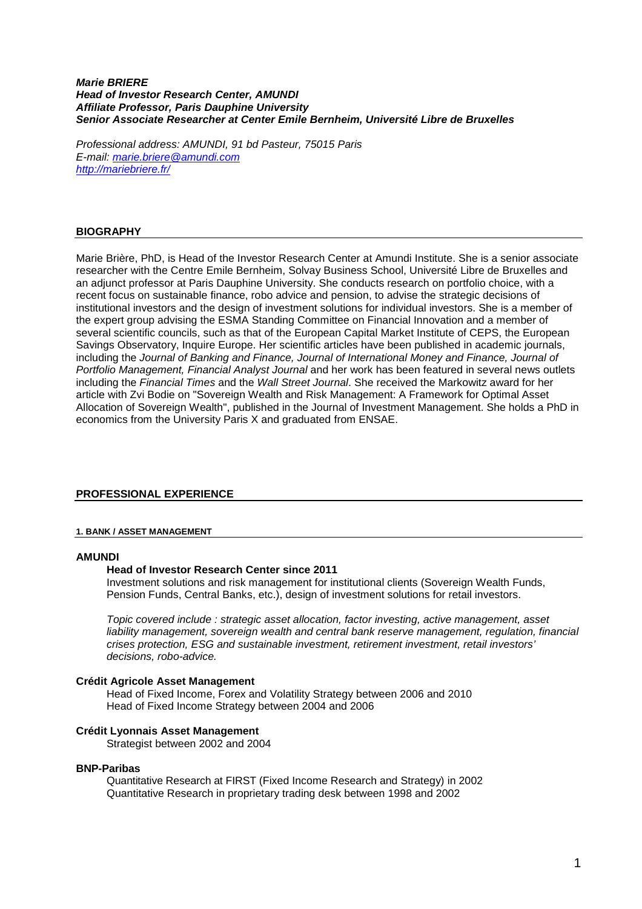#### **Marie BRIERE Head of Investor Research Center, AMUNDI Affiliate Professor, Paris Dauphine University Senior Associate Researcher at Center Emile Bernheim, Université Libre de Bruxelles**

Professional address: AMUNDI, 91 bd Pasteur, 75015 Paris E-mail: marie.briere@amundi.com http://mariebriere.fr/

# **BIOGRAPHY**

Marie Brière, PhD, is Head of the Investor Research Center at Amundi Institute. She is a senior associate researcher with the Centre Emile Bernheim, Solvay Business School, Université Libre de Bruxelles and an adjunct professor at Paris Dauphine University. She conducts research on portfolio choice, with a recent focus on sustainable finance, robo advice and pension, to advise the strategic decisions of institutional investors and the design of investment solutions for individual investors. She is a member of the expert group advising the ESMA Standing Committee on Financial Innovation and a member of several scientific councils, such as that of the European Capital Market Institute of CEPS, the European Savings Observatory, Inquire Europe. Her scientific articles have been published in academic journals, including the Journal of Banking and Finance, Journal of International Money and Finance, Journal of Portfolio Management, Financial Analyst Journal and her work has been featured in several news outlets including the Financial Times and the Wall Street Journal. She received the Markowitz award for her article with Zvi Bodie on "Sovereign Wealth and Risk Management: A Framework for Optimal Asset Allocation of Sovereign Wealth", published in the Journal of Investment Management. She holds a PhD in economics from the University Paris X and graduated from ENSAE.

# **PROFESSIONAL EXPERIENCE**

### **1. BANK / ASSET MANAGEMENT**

#### **AMUNDI**

### **Head of Investor Research Center since 2011**

Investment solutions and risk management for institutional clients (Sovereign Wealth Funds, Pension Funds, Central Banks, etc.), design of investment solutions for retail investors.

Topic covered include : strategic asset allocation, factor investing, active management, asset liability management, sovereign wealth and central bank reserve management, regulation, financial crises protection, ESG and sustainable investment, retirement investment, retail investors' decisions, robo-advice.

#### **Crédit Agricole Asset Management**

Head of Fixed Income, Forex and Volatility Strategy between 2006 and 2010 Head of Fixed Income Strategy between 2004 and 2006

#### **Crédit Lyonnais Asset Management**

Strategist between 2002 and 2004

#### **BNP-Paribas**

Quantitative Research at FIRST (Fixed Income Research and Strategy) in 2002 Quantitative Research in proprietary trading desk between 1998 and 2002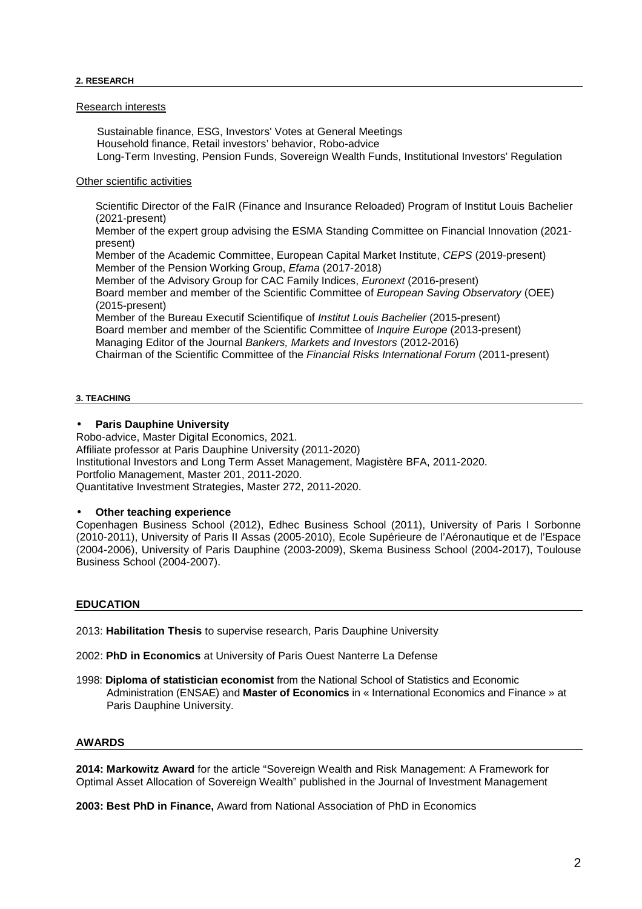### Research interests

 Sustainable finance, ESG, Investors' Votes at General Meetings Household finance, Retail investors' behavior, Robo-advice Long-Term Investing, Pension Funds, Sovereign Wealth Funds, Institutional Investors' Regulation

### Other scientific activities

Scientific Director of the FaIR (Finance and Insurance Reloaded) Program of Institut Louis Bachelier (2021-present)

Member of the expert group advising the ESMA Standing Committee on Financial Innovation (2021 present)

Member of the Academic Committee, European Capital Market Institute, CEPS (2019-present) Member of the Pension Working Group, Efama (2017-2018)

Member of the Advisory Group for CAC Family Indices, Euronext (2016-present) Board member and member of the Scientific Committee of European Saving Observatory (OEE) (2015-present)

Member of the Bureau Executif Scientifique of Institut Louis Bachelier (2015-present) Board member and member of the Scientific Committee of Inquire Europe (2013-present) Managing Editor of the Journal Bankers, Markets and Investors (2012-2016) Chairman of the Scientific Committee of the Financial Risks International Forum (2011-present)

#### **3. TEACHING**

### • **Paris Dauphine University**

Robo-advice, Master Digital Economics, 2021. Affiliate professor at Paris Dauphine University (2011-2020) Institutional Investors and Long Term Asset Management, Magistère BFA, 2011-2020. Portfolio Management, Master 201, 2011-2020. Quantitative Investment Strategies, Master 272, 2011-2020.

### • **Other teaching experience**

Copenhagen Business School (2012), Edhec Business School (2011), University of Paris I Sorbonne (2010-2011), University of Paris II Assas (2005-2010), Ecole Supérieure de l'Aéronautique et de l'Espace (2004-2006), University of Paris Dauphine (2003-2009), Skema Business School (2004-2017), Toulouse Business School (2004-2007).

### **EDUCATION**

2013: **Habilitation Thesis** to supervise research, Paris Dauphine University

- 2002: **PhD in Economics** at University of Paris Ouest Nanterre La Defense
- 1998: **Diploma of statistician economist** from the National School of Statistics and Economic Administration (ENSAE) and **Master of Economics** in « International Economics and Finance » at Paris Dauphine University.

### **AWARDS**

**2014: Markowitz Award** for the article "Sovereign Wealth and Risk Management: A Framework for Optimal Asset Allocation of Sovereign Wealth" published in the Journal of Investment Management

**2003: Best PhD in Finance,** Award from National Association of PhD in Economics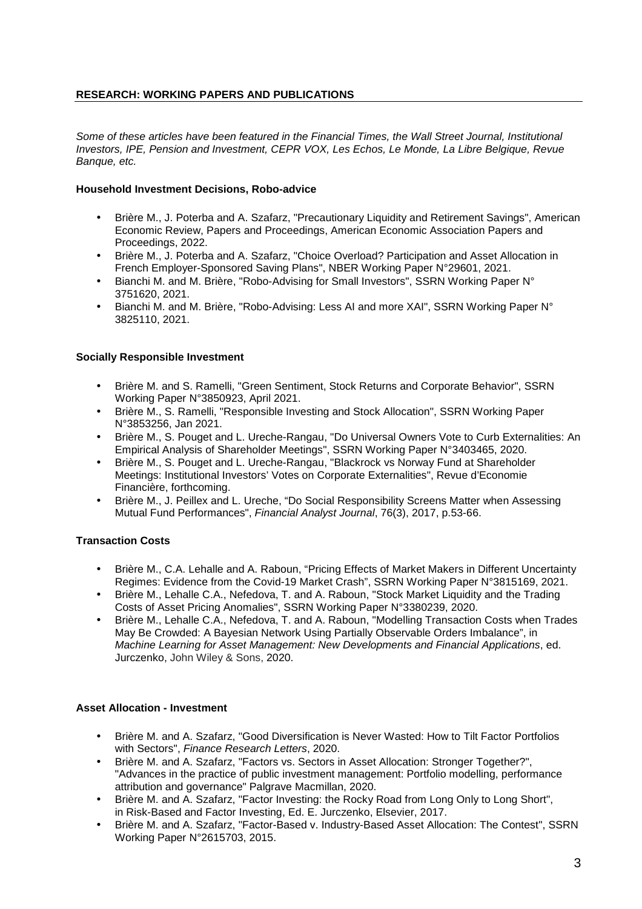# **RESEARCH: WORKING PAPERS AND PUBLICATIONS**

Some of these articles have been featured in the Financial Times, the Wall Street Journal, Institutional Investors, IPE, Pension and Investment, CEPR VOX, Les Echos, Le Monde, La Libre Belgique, Revue Banque, etc.

## **Household Investment Decisions, Robo-advice**

- Brière M., J. Poterba and A. Szafarz, "Precautionary Liquidity and Retirement Savings", American Economic Review, Papers and Proceedings, American Economic Association Papers and Proceedings, 2022.
- Brière M., J. Poterba and A. Szafarz, "Choice Overload? Participation and Asset Allocation in French Employer-Sponsored Saving Plans", NBER Working Paper N°29601, 2021.
- Bianchi M. and M. Brière, "Robo-Advising for Small Investors", SSRN Working Paper N° 3751620, 2021.
- Bianchi M. and M. Brière, "Robo-Advising: Less AI and more XAI", SSRN Working Paper N° 3825110, 2021.

### **Socially Responsible Investment**

- Brière M. and S. Ramelli, "Green Sentiment, Stock Returns and Corporate Behavior", SSRN Working Paper N°3850923, April 2021.
- Brière M., S. Ramelli, "Responsible Investing and Stock Allocation", SSRN Working Paper N°3853256, Jan 2021.
- Brière M., S. Pouget and L. Ureche-Rangau, "Do Universal Owners Vote to Curb Externalities: An Empirical Analysis of Shareholder Meetings", SSRN Working Paper N°3403465, 2020.
- Brière M., S. Pouget and L. Ureche-Rangau, "Blackrock vs Norway Fund at Shareholder Meetings: Institutional Investors' Votes on Corporate Externalities", Revue d'Economie Financière, forthcoming.
- Brière M., J. Peillex and L. Ureche, "Do Social Responsibility Screens Matter when Assessing Mutual Fund Performances", Financial Analyst Journal, 76(3), 2017, p.53-66.

# **Transaction Costs**

- Brière M., C.A. Lehalle and A. Raboun, "Pricing Effects of Market Makers in Different Uncertainty Regimes: Evidence from the Covid-19 Market Crash", SSRN Working Paper N°3815169, 2021.
- Brière M., Lehalle C.A., Nefedova, T. and A. Raboun, "Stock Market Liquidity and the Trading Costs of Asset Pricing Anomalies", SSRN Working Paper N°3380239, 2020.
- Brière M., Lehalle C.A., Nefedova, T. and A. Raboun, "Modelling Transaction Costs when Trades May Be Crowded: A Bayesian Network Using Partially Observable Orders Imbalance", in Machine Learning for Asset Management: New Developments and Financial Applications, ed. Jurczenko, John Wiley & Sons, 2020.

### **Asset Allocation - Investment**

- Brière M. and A. Szafarz, "Good Diversification is Never Wasted: How to Tilt Factor Portfolios with Sectors", Finance Research Letters, 2020.
- Brière M. and A. Szafarz, "Factors vs. Sectors in Asset Allocation: Stronger Together?", "Advances in the practice of public investment management: Portfolio modelling, performance attribution and governance" Palgrave Macmillan, 2020.
- Brière M. and A. Szafarz, "Factor Investing: the Rocky Road from Long Only to Long Short", in Risk-Based and Factor Investing, Ed. E. Jurczenko, Elsevier, 2017.
- Brière M. and A. Szafarz, "Factor-Based v. Industry-Based Asset Allocation: The Contest", SSRN Working Paper N°2615703, 2015.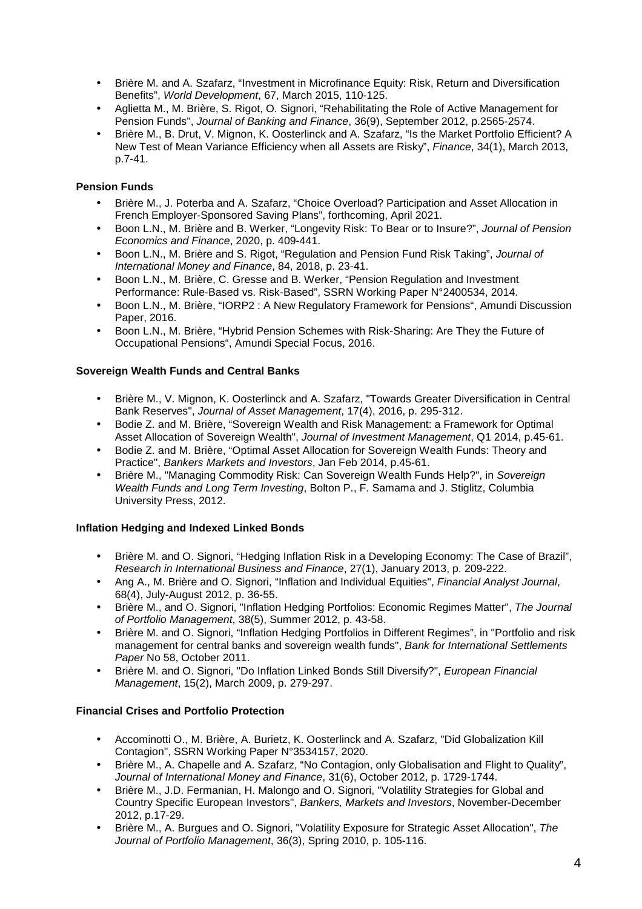- Brière M. and A. Szafarz, "Investment in Microfinance Equity: Risk, Return and Diversification Benefits", World Development, 67, March 2015, 110-125.
- Aglietta M., M. Brière, S. Rigot, O. Signori, "Rehabilitating the Role of Active Management for Pension Funds", Journal of Banking and Finance, 36(9), September 2012, p.2565-2574.
- Brière M., B. Drut, V. Mignon, K. Oosterlinck and A. Szafarz, "Is the Market Portfolio Efficient? A New Test of Mean Variance Efficiency when all Assets are Risky", Finance, 34(1), March 2013, p.7-41.

# **Pension Funds**

- Brière M., J. Poterba and A. Szafarz, "Choice Overload? Participation and Asset Allocation in French Employer-Sponsored Saving Plans", forthcoming, April 2021.
- Boon L.N., M. Brière and B. Werker, "Longevity Risk: To Bear or to Insure?", Journal of Pension Economics and Finance, 2020, p. 409-441.
- Boon L.N., M. Brière and S. Rigot, "Regulation and Pension Fund Risk Taking", Journal of International Money and Finance, 84, 2018, p. 23-41.
- Boon L.N., M. Brière, C. Gresse and B. Werker, "Pension Regulation and Investment Performance: Rule-Based vs. Risk-Based", SSRN Working Paper N°2400534, 2014.
- Boon L.N., M. Brière, "IORP2 : A New Regulatory Framework for Pensions", Amundi Discussion Paper, 2016.
- Boon L.N., M. Brière, "Hybrid Pension Schemes with Risk-Sharing: Are They the Future of Occupational Pensions", Amundi Special Focus, 2016.

# **Sovereign Wealth Funds and Central Banks**

- Brière M., V. Mignon, K. Oosterlinck and A. Szafarz, "Towards Greater Diversification in Central Bank Reserves", Journal of Asset Management, 17(4), 2016, p. 295-312.
- Bodie Z. and M. Brière, "Sovereign Wealth and Risk Management: a Framework for Optimal Asset Allocation of Sovereign Wealth", Journal of Investment Management, Q1 2014, p.45-61.
- Bodie Z. and M. Brière, "Optimal Asset Allocation for Sovereign Wealth Funds: Theory and Practice", Bankers Markets and Investors, Jan Feb 2014, p.45-61.
- Brière M., "Managing Commodity Risk: Can Sovereign Wealth Funds Help?", in Sovereign Wealth Funds and Long Term Investing, Bolton P., F. Samama and J. Stiglitz, Columbia University Press, 2012.

# **Inflation Hedging and Indexed Linked Bonds**

- Brière M. and O. Signori, "Hedging Inflation Risk in a Developing Economy: The Case of Brazil", Research in International Business and Finance, 27(1), January 2013, p. 209-222.
- Ang A., M. Brière and O. Signori, "Inflation and Individual Equities", Financial Analyst Journal, 68(4), July-August 2012, p. 36-55.
- Brière M., and O. Signori, "Inflation Hedging Portfolios: Economic Regimes Matter", The Journal of Portfolio Management, 38(5), Summer 2012, p. 43-58.
- Brière M. and O. Signori, "Inflation Hedging Portfolios in Different Regimes", in "Portfolio and risk management for central banks and sovereign wealth funds", Bank for International Settlements Paper No 58, October 2011.
- Brière M. and O. Signori, "Do Inflation Linked Bonds Still Diversify?", European Financial Management, 15(2), March 2009, p. 279-297.

# **Financial Crises and Portfolio Protection**

- Accominotti O., M. Brière, A. Burietz, K. Oosterlinck and A. Szafarz, "Did Globalization Kill Contagion", SSRN Working Paper N°3534157, 2020.
- Brière M., A. Chapelle and A. Szafarz, "No Contagion, only Globalisation and Flight to Quality", Journal of International Money and Finance, 31(6), October 2012, p. 1729-1744.
- Brière M., J.D. Fermanian, H. Malongo and O. Signori, "Volatility Strategies for Global and Country Specific European Investors", Bankers, Markets and Investors, November-December 2012, p.17-29.
- Brière M., A. Burgues and O. Signori, "Volatility Exposure for Strategic Asset Allocation", The Journal of Portfolio Management, 36(3), Spring 2010, p. 105-116.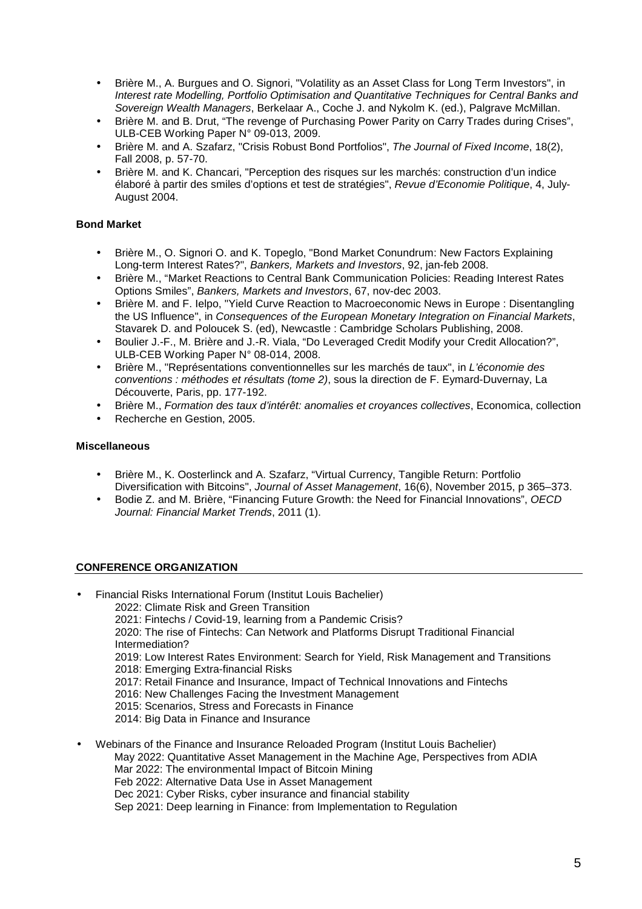- Brière M., A. Burgues and O. Signori, "Volatility as an Asset Class for Long Term Investors", in Interest rate Modelling, Portfolio Optimisation and Quantitative Techniques for Central Banks and Sovereign Wealth Managers, Berkelaar A., Coche J. and Nykolm K. (ed.), Palgrave McMillan.
- Brière M. and B. Drut, "The revenge of Purchasing Power Parity on Carry Trades during Crises", ULB-CEB Working Paper N° 09-013, 2009.
- Brière M. and A. Szafarz, "Crisis Robust Bond Portfolios", The Journal of Fixed Income, 18(2), Fall 2008, p. 57-70.
- Brière M. and K. Chancari, "Perception des risques sur les marchés: construction d'un indice élaboré à partir des smiles d'options et test de stratégies", Revue d'Economie Politique, 4, July-August 2004.

# **Bond Market**

- Brière M., O. Signori O. and K. Topeglo, "Bond Market Conundrum: New Factors Explaining Long-term Interest Rates?", Bankers, Markets and Investors, 92, jan-feb 2008.
- Brière M., "Market Reactions to Central Bank Communication Policies: Reading Interest Rates Options Smiles", Bankers, Markets and Investors, 67, nov-dec 2003.
- Brière M. and F. Ielpo, "Yield Curve Reaction to Macroeconomic News in Europe : Disentangling the US Influence", in Consequences of the European Monetary Integration on Financial Markets, Stavarek D. and Poloucek S. (ed), Newcastle : Cambridge Scholars Publishing, 2008.
- Boulier J.-F., M. Brière and J.-R. Viala, "Do Leveraged Credit Modify your Credit Allocation?", ULB-CEB Working Paper N° 08-014, 2008.
- Brière M., "Représentations conventionnelles sur les marchés de taux", in L'économie des conventions : méthodes et résultats (tome 2), sous la direction de F. Eymard-Duvernay, La Découverte, Paris, pp. 177-192.
- Brière M., Formation des taux d'intérêt: anomalies et croyances collectives, Economica, collection
- Recherche en Gestion, 2005.

# **Miscellaneous**

- Brière M., K. Oosterlinck and A. Szafarz, "Virtual Currency, Tangible Return: Portfolio Diversification with Bitcoins", Journal of Asset Management, 16(6), November 2015, p 365–373.
- Bodie Z. and M. Brière, "Financing Future Growth: the Need for Financial Innovations", OECD Journal: Financial Market Trends, 2011 (1).

# **CONFERENCE ORGANIZATION**

- Financial Risks International Forum (Institut Louis Bachelier) 2022: Climate Risk and Green Transition 2021: Fintechs / Covid-19, learning from a Pandemic Crisis? 2020: The rise of Fintechs: Can Network and Platforms Disrupt Traditional Financial Intermediation? 2019: Low Interest Rates Environment: Search for Yield, Risk Management and Transitions 2018: Emerging Extra-financial Risks 2017: Retail Finance and Insurance, Impact of Technical Innovations and Fintechs 2016: New Challenges Facing the Investment Management 2015: Scenarios, Stress and Forecasts in Finance 2014: Big Data in Finance and Insurance • Webinars of the Finance and Insurance Reloaded Program (Institut Louis Bachelier) May 2022: Quantitative Asset Management in the Machine Age, Perspectives from ADIA
	- Mar 2022: The environmental Impact of Bitcoin Mining
	- Feb 2022: Alternative Data Use in Asset Management Dec 2021: Cyber Risks, cyber insurance and financial stability
	- Sep 2021: Deep learning in Finance: from Implementation to Regulation